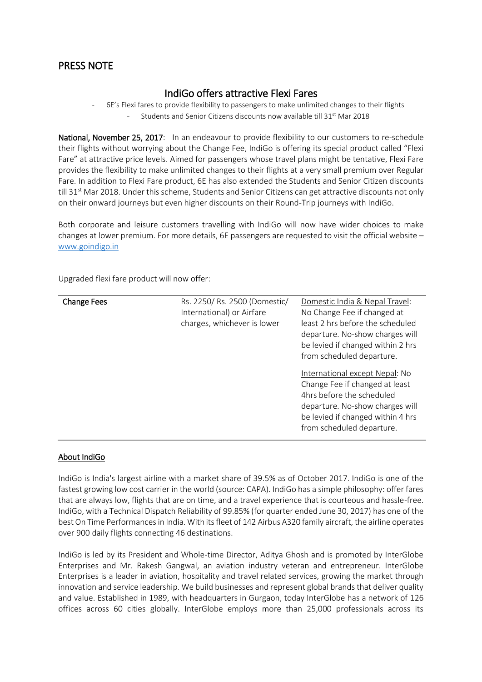## PRESS NOTE

## IndiGo offers attractive Flexi Fares

- 6E's Flexi fares to provide flexibility to passengers to make unlimited changes to their flights Students and Senior Citizens discounts now available till 31<sup>st</sup> Mar 2018

National, November 25, 2017: In an endeavour to provide flexibility to our customers to re-schedule their flights without worrying about the Change Fee, IndiGo is offering its special product called "Flexi Fare" at attractive price levels. Aimed for passengers whose travel plans might be tentative, Flexi Fare provides the flexibility to make unlimited changes to their flights at a very small premium over Regular Fare. In addition to Flexi Fare product, 6E has also extended the Students and Senior Citizen discounts till 31<sup>st</sup> Mar 2018. Under this scheme, Students and Senior Citizens can get attractive discounts not only on their onward journeys but even higher discounts on their Round-Trip journeys with IndiGo.

Both corporate and leisure customers travelling with IndiGo will now have wider choices to make changes at lower premium. For more details, 6E passengers are requested to visit the official website – [www.goindigo.in](http://www.goindigo.in/)

Upgraded flexi fare product will now offer:

| <b>Change Fees</b> | Rs. 2250/ Rs. 2500 (Domestic/<br>International) or Airfare<br>charges, whichever is lower | Domestic India & Nepal Travel:<br>No Change Fee if changed at<br>least 2 hrs before the scheduled<br>departure. No-show charges will<br>be levied if changed within 2 hrs<br>from scheduled departure.<br>International except Nepal: No<br>Change Fee if changed at least |
|--------------------|-------------------------------------------------------------------------------------------|----------------------------------------------------------------------------------------------------------------------------------------------------------------------------------------------------------------------------------------------------------------------------|
|                    |                                                                                           | 4hrs before the scheduled<br>departure. No-show charges will<br>be levied if changed within 4 hrs<br>from scheduled departure.                                                                                                                                             |

## About IndiGo

IndiGo is India's largest airline with a market share of 39.5% as of October 2017. IndiGo is one of the fastest growing low cost carrier in the world (source: CAPA). IndiGo has a simple philosophy: offer fares that are always low, flights that are on time, and a travel experience that is courteous and hassle-free. IndiGo, with a Technical Dispatch Reliability of 99.85% (for quarter ended June 30, 2017) has one of the best On Time Performancesin India. With its fleet of 142 Airbus A320 family aircraft, the airline operates over 900 daily flights connecting 46 destinations.

IndiGo is led by its President and Whole-time Director, Aditya Ghosh and is promoted by InterGlobe Enterprises and Mr. Rakesh Gangwal, an aviation industry veteran and entrepreneur. InterGlobe Enterprises is a leader in aviation, hospitality and travel related services, growing the market through innovation and service leadership. We build businesses and represent global brands that deliver quality and value. Established in 1989, with headquarters in Gurgaon, today InterGlobe has a network of 126 offices across 60 cities globally. InterGlobe employs more than 25,000 professionals across its